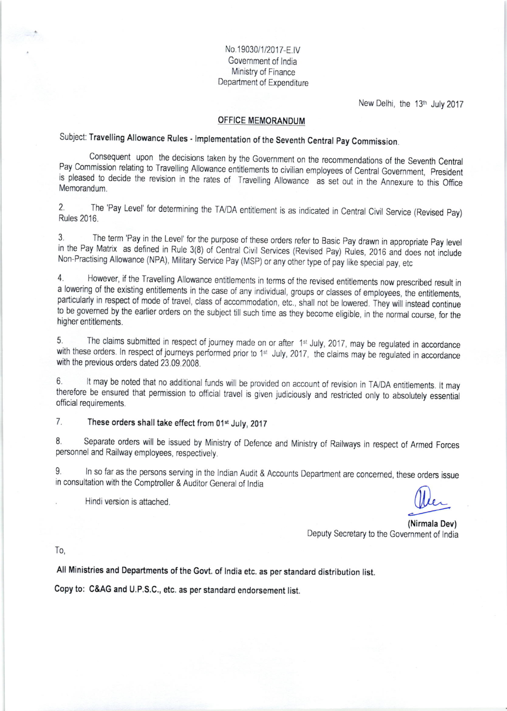No.19030/1/2017-F.IV Govemment of lndia Ministry of Finance Department of Expenditure

New Delhi, the 13<sup>th</sup> July 2017

#### OFFICE MEMORANDUM

Subject: Travelling Allowance Rules - Implementation of the Seventh Central Pay Commission.

Pav Co Consequent upon the decisions taken by the Government on the recommendations of the Seventh Central Pay Commission relating to Travelling Allowance entitlements to civilian employees of Central Government, President is pleased to decide the revision in the rates of Travelling Allowance as set out in the Annexure to this Office Memorandum.

2. The 'Pay Level' for determining the TA/DA entitlement is as indicated in Central Civil Service (Revised Pay) Rules 2016.

3. The term 'Pay in the Level' for the purpose of these orders refer to Basic Pay drawn in appropriate Pay leve<br>in the Pay Matrix as defined in Rule 3(8) of Central Civil Services (Revised Pay) Rules, 2016 and does not inc The term 'Pay in the Level' for the purpose of these orders refer to Basic Pay drawn in appropriate Pay level Non-Practising Allowance (NPA), Military Service Pay (MSP) or any other type of pay like special pay, etc

4 .<br>.<br>. However, if the Travelling Allowance entitlements in terms of the revised entitlements now prescribed result in a lowering of the existing entitlements in the case of any individual, groups or classes of employees, the entitlements particularly in respect of mode of travel, class of accommodation, etc., shall not be lowered. They will instead continue to be governed by the earlier orders on the subject till such time as they become eligible, in the normal course, for the higher entitlements.

The claims submitted in respect of journey made on or after 1<sup>st</sup> July, 2017, may be regulated in accordance with these orders. In respect of journeys performed prior to 1<sup>st</sup> July, 2017, the claims may be regulated in accordance with the previous orders dated 23.09.2008.

6. It may be noted that no additional funds will be provided on account of revision in TA/DA entitlements. It may therefore be ensured that permission to official travel is given judiciously and restricted only to absolutely essential official requirements.

## 7. These orders shall take effect from 01<sup>st</sup> July, 2017

8. Separate orders will be issued by Ministry of Defence and Ministry of Railways in respect of Armed Forces personnel and Railway employees, respectively.

9. In so far as the persons serving in the Indian Audit & Accounts Department are concerned, these orders issue in consultation with the Comptroller & Auditor General of India<br>Hindi version is attached.

w

(Nirmala Dev) Deputy Secretary to the Government of lndia

To,

All Ministries and Departments of the Govt. of lndia etc. as per standard distribution list.

Copy to: C&AG and U.P.S.C., etc. as per standard endorsement list.